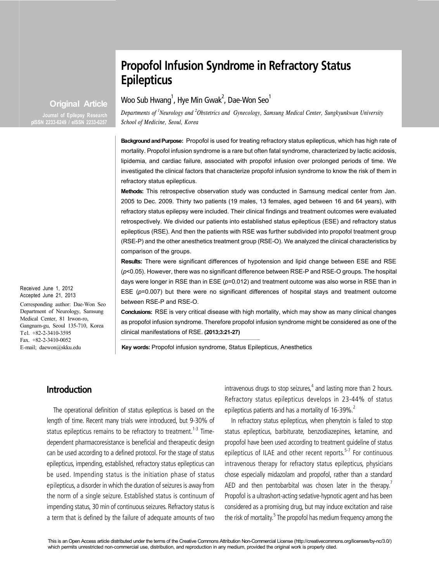# **Propofol Infusion Syndrome in Refractory Status Epilepticus**

**Original Article Journal of Epilepsy Research**

**pISSN 2233-6249 / eISSN 2233-6257**

Woo Sub Hwang $^{\rm l}$ , Hye Min Gwak $^{\rm 2}$ , Dae-Won Seo $^{\rm l}$ 

*Departments of <sup>1</sup> Neurology and <sup>2</sup> Obstetrics and Gynecology, Samsung Medical Center, Sungkyunkwan University School of Medicine, Seoul, Korea*

**Background and Purpose:** Propofol is used for treating refractory status epilepticus, which has high rate of mortality. Propofol infusion syndrome is a rare but often fatal syndrome, characterized by lactic acidosis, lipidemia, and cardiac failure, associated with propofol infusion over prolonged periods of time. We investigated the clinical factors that characterize propofol infusion syndrome to know the risk of them in refractory status epilepticus.

**Methods:** This retrospective observation study was conducted in Samsung medical center from Jan. 2005 to Dec. 2009. Thirty two patients (19 males, 13 females, aged between 16 and 64 years), with refractory status epilepsy were included. Their clinical findings and treatment outcomes were evaluated retrospectively. We divided our patients into established status epilepticus (ESE) and refractory status epilepticus (RSE). And then the patients with RSE was further subdivided into propofol treatment group (RSE-P) and the other anesthetics treatment group (RSE-O). We analyzed the clinical characteristics by comparison of the groups.

**Results:** There were significant differences of hypotension and lipid change between ESE and RSE (*p*<0.05). However, there was no significant difference between RSE-P and RSE-O groups. The hospital days were longer in RSE than in ESE ( $p$ =0.012) and treatment outcome was also worse in RSE than in ESE ( $p=0.007$ ) but there were no significant differences of hospital stays and treatment outcome between RSE-P and RSE-O.

**Conclusions:** RSE is very critical disease with high mortality, which may show as many clinical changes as propofol infusion syndrome. Therefore propofol infusion syndrome might be considered as one of the clinical manifestations of RSE. **(2013;3:21-27)**

**Key words:** Propofol infusion syndrome, Status Epilepticus, Anesthetics

## **Introduction**

The operational definition of status epilepticus is based on the length of time. Recent many trials were introduced, but 9-30% of status epilepticus remains to be refractory to treatment.<sup>1-3</sup> Timedependent pharmacoresistance is beneficial and therapeutic design can be used according to a defined protocol. For the stage of status epilepticus, impending, established, refractory status epilepticus can be used. Impending status is the initiation phase of status epilepticus, a disorder in which the duration of seizures is away from the norm of a single seizure. Established status is continuum of impending status, 30 min of continuous seizures. Refractory status is a term that is defined by the failure of adequate amounts of two

intravenous drugs to stop seizures, $^4$  and lasting more than 2 hours. Refractory status epilepticus develops in 23-44% of status epilepticus patients and has a mortality of 16-39%.<sup>2</sup>

In refractory status epilepticus, when phenytoin is failed to stop status epilepticus, barbiturate, benzodiazepines, ketamine, and propofol have been used according to treatment guideline of status epilepticus of ILAE and other recent reports. $5-7$  For continuous intravenous therapy for refractory status epilepticus, physicians chose especially midazolam and propofol, rather than a standard AED and then pentobarbital was chosen later in the therapy.<sup>7</sup> Propofol is a ultrashort-acting sedative-hypnotic agent and has been considered as a promising drug, but may induce excitation and raise the risk of mortality.<sup>5</sup> The propofol has medium frequency among the

Received June 1, 2012 Accepted June 21, 2013

Corresponding author: Dae-Won Seo Department of Neurology, Samsung Medical Center, 81 Irwon-ro, Gangnam-gu, Seoul 135-710, Korea Tel. +82-2-3410-3595 Fax. +82-2-3410-0052 E-mail; daewon@skku.edu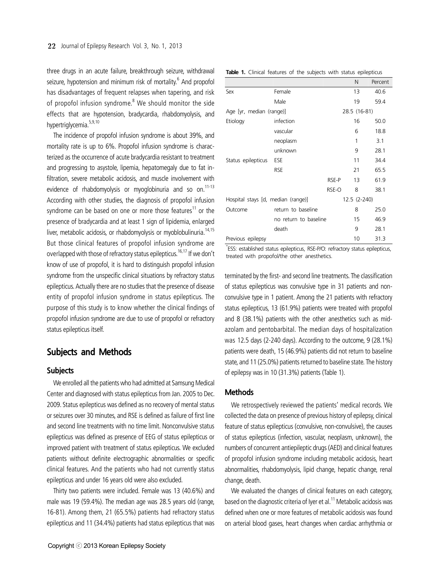three drugs in an acute failure, breakthrough seizure, withdrawal seizure, hypotension and minimum risk of mortality.<sup>6</sup> And propofol has disadvantages of frequent relapses when tapering, and risk of propofol infusion syndrome.<sup>8</sup> We should monitor the side effects that are hypotension, bradycardia, rhabdomyolysis, and hypertriglycemia.<sup>5,9,10</sup>

The incidence of propofol infusion syndrome is about 39%, and mortality rate is up to 6%. Propofol infusion syndrome is characterized as the occurrence of acute bradycardia resistant to treatment and progressing to asystole, lipemia, hepatomegaly due to fat infiltration, severe metabolic acidosis, and muscle involvement with evidence of rhabdomyolysis or myoglobinuria and so on.<sup>11-13</sup> According with other studies, the diagnosis of propofol infusion syndrome can be based on one or more those features<sup>11</sup> or the presence of bradycardia and at least 1 sign of lipidemia, enlarged liver, metabolic acidosis, or rhabdomyolysis or myoblobulinuria.<sup>14,15</sup> But those clinical features of propofol infusion syndrome are overlapped with those of refractory status epilepticus.<sup>16,17</sup> If we don't know of use of propofol, it is hard to distinguish propofol infusion syndrome from the unspecific clinical situations by refractory status epilepticus. Actually there are no studies that the presence of disease entity of propofol infusion syndrome in status epilepticus. The purpose of this study is to know whether the clinical findings of propofol infusion syndrome are due to use of propofol or refractory status epilepticus itself.

## **Subjects and Methods**

### **Subjects**

We enrolled all the patients who had admitted at Samsung Medical Center and diagnosed with status epilepticus from Jan. 2005 to Dec. 2009. Status epilepticus was defined as no recovery of mental status or seizures over 30 minutes, and RSE is defined as failure of first line and second line treatments with no time limit. Nonconvulsive status epilepticus was defined as presence of EEG of status epilepticus or improved patient with treatment of status epilepticus. We excluded patients without definite electrographic abnormalities or specific clinical features. And the patients who had not currently status epilepticus and under 16 years old were also excluded.

Thirty two patients were included. Female was 13 (40.6%) and male was 19 (59.4%). The median age was 28.5 years old (range, 16-81). Among them, 21 (65.5%) patients had refractory status epilepticus and 11 (34.4%) patients had status epilepticus that was

|                                                                                                                   |                       |              | N            | Percent |
|-------------------------------------------------------------------------------------------------------------------|-----------------------|--------------|--------------|---------|
| Sex                                                                                                               | Female                |              | 13           | 40.6    |
|                                                                                                                   | Male                  |              | 19           | 59.4    |
| Age [yr, median (range)]                                                                                          |                       |              | 28.5 (16-81) |         |
| Etiology                                                                                                          | infection             |              | 16           | 50.0    |
|                                                                                                                   | vascular              |              | 6            | 18.8    |
|                                                                                                                   | neoplasm              |              | 1            | 3.1     |
|                                                                                                                   | unknown               |              | 9            | 28.1    |
| Status epilepticus                                                                                                | ESE                   |              | 11           | 34.4    |
|                                                                                                                   | <b>RSE</b>            |              | 21           | 65.5    |
|                                                                                                                   |                       | RSE-P        | 13           | 61.9    |
|                                                                                                                   |                       | RSE-O        | 8            | 38.1    |
| Hospital stays [d, median (range)]                                                                                |                       | 12.5 (2-240) |              |         |
| Outcome                                                                                                           | return to baseline    |              | 8            | 25.0    |
|                                                                                                                   | no return to baseline |              | 15           | 46.9    |
|                                                                                                                   | death                 |              | 9            | 28.1    |
| Previous epilepsy                                                                                                 |                       |              | 10           | 31.3    |
| * a start of the start of the start of the start of the start of the start of the start of the start of the start | -------               | $\epsilon$   |              |         |

**Table 1.** Clinical features of the subjects with status epilepticus

\* ESS: established status epilepticus, RSE-P/O: refractory status epilepticus, treated with propofol/the other anesthetics.

terminated by the first- and second line treatments. The classification of status epilepticus was convulsive type in 31 patients and nonconvulsive type in 1 patient. Among the 21 patients with refractory status epilepticus, 13 (61.9%) patients were treated with propofol and 8 (38.1%) patients with the other anesthetics such as midazolam and pentobarbital. The median days of hospitalization was 12.5 days (2-240 days). According to the outcome, 9 (28.1%) patients were death, 15 (46.9%) patients did not return to baseline state, and 11 (25.0%) patients returned to baseline state. The history of epilepsy was in 10 (31.3%) patients (Table 1).

#### **Methods**

We retrospectively reviewed the patients' medical records. We collected the data on presence of previous history of epilepsy, clinical feature of status epilepticus (convulsive, non-convulsive), the causes of status epilepticus (infection, vascular, neoplasm, unknown), the numbers of concurrent antiepileptic drugs (AED) and clinical features of propofol infusion syndrome including metabolic acidosis, heart abnormalities, rhabdomyolysis, lipid change, hepatic change, renal change, death.

We evaluated the changes of clinical features on each category, based on the diagnostic criteria of Iyer et al. $<sup>11</sup>$  Metabolic acidosis was</sup> defined when one or more features of metabolic acidosis was found on arterial blood gases, heart changes when cardiac arrhythmia or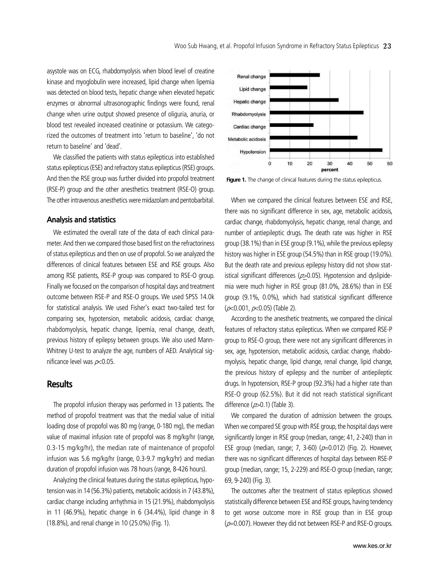asystole was on ECG, rhabdomyolysis when blood level of creatine kinase and myoglobulin were increased, lipid change when lipemia was detected on blood tests, hepatic change when elevated hepatic enzymes or abnormal ultrasonographic findings were found, renal change when urine output showed presence of oliguria, anuria, or blood test revealed increased creatinine or potassium. We categorized the outcomes of treatment into 'return to baseline', 'do not return to baseline' and 'dead'.

We classified the patients with status epilepticus into established status epilepticus (ESE) and refractory status epilepticus (RSE) groups. And then the RSE group was further divided into propofol treatment (RSE-P) group and the other anesthetics treatment (RSE-O) group. The other intravenous anesthetics were midazolam and pentobarbital.

#### **Analysis and statistics**

We estimated the overall rate of the data of each clinical parameter. And then we compared those based first on the refractoriness of status epilepticus and then on use of propofol. So we analyzed the differences of clinical features between ESE and RSE groups. Also among RSE patients, RSE-P group was compared to RSE-O group. Finally we focused on the comparison of hospital days and treatment outcome between RSE-P and RSE-O groups. We used SPSS 14.0k for statistical analysis. We used Fisher's exact two-tailed test for comparing sex, hypotension, metabolic acidosis, cardiac change, rhabdomyolysis, hepatic change, lipemia, renal change, death, previous history of epilepsy between groups. We also used Mann-Whitney U-test to analyze the age, numbers of AED. Analytical significance level was  $p<0.05$ .

## **Results**

The propofol infusion therapy was performed in 13 patients. The method of propofol treatment was that the medial value of initial loading dose of propofol was 80 mg (range, 0-180 mg), the median value of maximal infusion rate of propofol was 8 mg/kg/hr (range, 0.3-15 mg/kg/hr), the median rate of maintenance of propofol infusion was 5.6 mg/kg/hr (range, 0.3-9.7 mg/kg/hr) and median duration of propofol infusion was 78 hours (range, 8-426 hours).

Analyzing the clinical features during the status epilepticus, hypotension was in 14 (56.3%) patients, metabolic acidosis in 7 (43.8%), cardiac change including arrhythmia in 15 (21.9%), rhabdomyolysis in 11 (46.9%), hepatic change in 6 (34.4%), lipid change in 8 (18.8%), and renal change in 10 (25.0%) (Fig. 1).



Figure 1. The change of clinical features during the status epilepticus.

When we compared the clinical features between ESE and RSE, there was no significant difference in sex, age, metabolic acidosis, cardiac change, rhabdomyolysis, hepatic change, renal change, and number of antiepileptic drugs. The death rate was higher in RSE group (38.1%) than in ESE group (9.1%), while the previous epilepsy history was higher in ESE group (54.5%) than in RSE group (19.0%). But the death rate and previous epilepsy history did not show statistical significant differences ( $p > 0.05$ ). Hypotension and dyslipidemia were much higher in RSE group (81.0%, 28.6%) than in ESE group (9.1%, 0.0%), which had statistical significant difference  $(\rho<0.001, \rho<0.05)$  (Table 2).

According to the anesthetic treatments, we compared the clinical features of refractory status epilepticus. When we compared RSE-P group to RSE-O group, there were not any significant differences in sex, age, hypotension, metabolic acidosis, cardiac change, rhabdomyolysis, hepatic change, lipid change, renal change, lipid change, the previous history of epilepsy and the number of antiepileptic drugs. In hypotension, RSE-P group (92.3%) had a higher rate than RSE-O group (62.5%). But it did not reach statistical significant difference  $(p>0.1)$  (Table 3).

We compared the duration of admission between the groups. When we compared SE group with RSE group, the hospital days were significantly longer in RSE group (median, range; 41, 2-240) than in ESE group (median, range; 7, 3-60) ( $p=0.012$ ) (Fig. 2). However, there was no significant differences of hospital days between RSE-P group (median, range; 15, 2-229) and RSE-O group (median, range; 69, 9-240) (Fig. 3).

The outcomes after the treatment of status epilepticus showed statistically difference between ESE and RSE groups, having tendency to get worse outcome more in RSE group than in ESE group  $(p=0.007)$ . However they did not between RSE-P and RSE-O groups.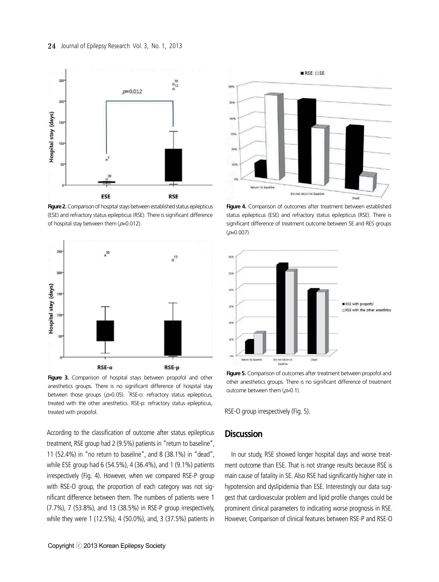

**Figure 2.** Comparison of hospital stays between established status epilepticus (ESE) and refractory status epilepticus (RSE). There is significant difference of hospital stay between them  $(p=0.012)$ .



Figure 3. Comparison of hospital stays between propofol and other anesthetics groups. There is no significant difference of hospital stay between those groups ( $p > 0.05$ ).  $k$ RSE-o: refractory status epilepticus, treated with the other anesthetics. RSE-p: refractory status epilepticus, treated with propofol.

According to the classification of outcome after status epilepticus treatment, RSE group had 2 (9.5%) patients in "return to baseline", 11 (52.4%) in "no return to baseline", and 8 (38.1%) in "dead", while ESE group had 6 (54.5%), 4 (36.4%), and 1 (9.1%) patients irrespectively (Fig. 4). However, when we compared RSE-P group with RSE-O group, the proportion of each category was not significant difference between them. The numbers of patients were 1 (7.7%), 7 (53.8%), and 13 (38.5%) in RSE-P group irrespectively, while they were 1 (12.5%), 4 (50.0%), and, 3 (37.5%) patients in



**Figure 4.** Comparison of outcomes after treatment between established status epilepticus (ESE) and refractory status epilepticus (RSE). There is significant difference of treatment outcome between SE and RES groups  $(p=0.007)$ .



**Figure 5.** Comparison of outcomes after treatment between propofol and other anesthetics groups. There is no significant difference of treatment outcome between them  $(p>0.1)$ .

RSE-O group irrespectively (Fig. 5).

## **Discussion**

In our study, RSE showed longer hospital days and worse treatment outcome than ESE. That is not strange results because RSE is main cause of fatality in SE. Also RSE had significantly higher rate in hypotension and dyslipidemia than ESE. Interestingly our data suggest that cardiovascular problem and lipid profile changes could be prominent clinical parameters to indicating worse prognosis in RSE. However, Comparison of clinical features between RSE-P and RSE-O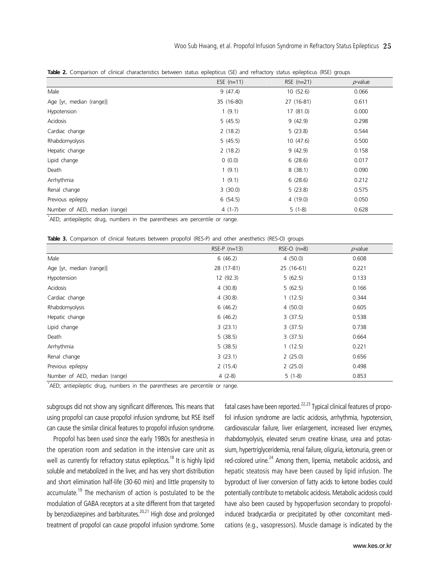|                               | <b>TODIC 2.</b> COMPaNSON OF CITING CHARGEDINGS DERVICED Status CONCORDICAS (JL) and TEMACION Status CONCORDINGLY GROUPS<br>ESE $(n=11)$<br>$p$ -value<br>$RSE$ (n=21) |            |       |  |  |  |
|-------------------------------|------------------------------------------------------------------------------------------------------------------------------------------------------------------------|------------|-------|--|--|--|
|                               |                                                                                                                                                                        |            |       |  |  |  |
| Male                          | 9(47.4)                                                                                                                                                                | 10(52.6)   | 0.066 |  |  |  |
| Age [yr, median (range)]      | 35 (16-80)                                                                                                                                                             | 27 (16-81) | 0.611 |  |  |  |
| Hypotension                   | 1(9.1)                                                                                                                                                                 | 17(81.0)   | 0.000 |  |  |  |
| Acidosis                      | 5(45.5)                                                                                                                                                                | 9(42.9)    | 0.298 |  |  |  |
| Cardiac change                | 2(18.2)                                                                                                                                                                | 5(23.8)    | 0.544 |  |  |  |
| Rhabdomyolysis                | 5(45.5)                                                                                                                                                                | 10(47.6)   | 0.500 |  |  |  |
| Hepatic change                | 2(18.2)                                                                                                                                                                | 9(42.9)    | 0.158 |  |  |  |
| Lipid change                  | 0(0.0)                                                                                                                                                                 | 6(28.6)    | 0.017 |  |  |  |
| Death                         | 1(9.1)                                                                                                                                                                 | 8(38.1)    | 0.090 |  |  |  |
| Arrhythmia                    | 1(9.1)                                                                                                                                                                 | 6(28.6)    | 0.212 |  |  |  |
| Renal change                  | 3(30.0)                                                                                                                                                                | 5(23.8)    | 0.575 |  |  |  |
| Previous epilepsy             | 6(54.5)                                                                                                                                                                | 4(19.0)    | 0.050 |  |  |  |
| Number of AED, median (range) | $4(1-7)$                                                                                                                                                               | $5(1-8)$   | 0.628 |  |  |  |

**Table 2.** Comparison of clinical characteristics between status epilepticus (SE) and refractory status epilepticus (RSE) groups

\* AED; antiepileptic drug, numbers in the parentheses are percentile or range.

|  | <b>Table 3.</b> Comparison of clinical features between propofol (RES-P) and other anesthetics (RES-O) groups |  |  |  |  |  |  |  |  |  |  |  |
|--|---------------------------------------------------------------------------------------------------------------|--|--|--|--|--|--|--|--|--|--|--|
|--|---------------------------------------------------------------------------------------------------------------|--|--|--|--|--|--|--|--|--|--|--|

|                               | $RSE-P (n=13)$ | $RSE-O$ ( $n=8$ ) | $p$ -value |
|-------------------------------|----------------|-------------------|------------|
| Male                          | 6(46.2)        | 4(50.0)           | 0.608      |
| Age [yr, median (range)]      | 28 (17-81)     | 25 (16-61)        | 0.221      |
| Hypotension                   | 12 (92.3)      | 5(62.5)           | 0.133      |
| Acidosis                      | 4(30.8)        | 5(62.5)           | 0.166      |
| Cardiac change                | 4(30.8)        | 1(12.5)           | 0.344      |
| Rhabdomyolysis                | 6(46.2)        | 4(50.0)           | 0.605      |
| Hepatic change                | 6(46.2)        | 3(37.5)           | 0.538      |
| Lipid change                  | 3(23.1)        | 3(37.5)           | 0.738      |
| Death                         | 5(38.5)        | 3(37.5)           | 0.664      |
| Arrhythmia                    | 5(38.5)        | 1(12.5)           | 0.221      |
| Renal change                  | 3(23.1)        | 2(25.0)           | 0.656      |
| Previous epilepsy             | 2(15.4)        | 2(25.0)           | 0.498      |
| Number of AED, median (range) | $4(2-8)$       | $5(1-8)$          | 0.853      |

\* AED; antiepileptic drug, numbers in the parentheses are percentile or range.

subgroups did not show any significant differences. This means that using propofol can cause propofol infusion syndrome, but RSE itself can cause the similar clinical features to propofol infusion syndrome.

Propofol has been used since the early 1980s for anesthesia in the operation room and sedation in the intensive care unit as well as currently for refractory status epilepticus.<sup>18</sup> It is highly lipid soluble and metabolized in the liver, and has very short distribution and short elimination half-life (30-60 min) and little propensity to accumulate.<sup>19</sup> The mechanism of action is postulated to be the modulation of GABA receptors at a site different from that targeted by benzodiazepines and barbiturates.<sup>20,21</sup> High dose and prolonged treatment of propofol can cause propofol infusion syndrome. Some fatal cases have been reported.<sup>22,23</sup> Typical clinical features of propofol infusion syndrome are lactic acidosis, arrhythmia, hypotension, cardiovascular failure, liver enlargement, increased liver enzymes, rhabdomyolysis, elevated serum creatine kinase, urea and potassium, hypertriglyceridemia, renal failure, oliguria, ketonuria, green or red-colored urine.<sup>24</sup> Among them, lipemia, metabolic acidosis, and hepatic steatosis may have been caused by lipid infusion. The byproduct of liver conversion of fatty acids to ketone bodies could potentially contribute to metabolic acidosis. Metabolic acidosis could have also been caused by hypoperfusion secondary to propofolinduced bradycardia or precipitated by other concomitant medications (e.g., vasopressors). Muscle damage is indicated by the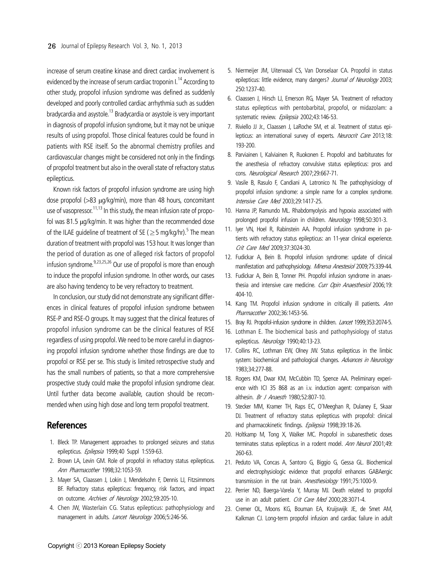increase of serum creatine kinase and direct cardiac involvement is evidenced by the increase of serum cardiac troponin I.<sup>14</sup> According to other study, propofol infusion syndrome was defined as suddenly developed and poorly controlled cardiac arrhythmia such as sudden bradycardia and asystole.<sup>13</sup> Bradycardia or asystole is very important in diagnosis of propofol infusion syndrome, but it may not be unique results of using propofol. Those clinical features could be found in patients with RSE itself. So the abnormal chemistry profiles and cardiovascular changes might be considered not only in the findings of propofol treatment but also in the overall state of refractory status epilepticus.

Known risk factors of propofol infusion syndrome are using high dose propofol (>83 μg/kg/min), more than 48 hours, concomitant use of vasopressor.<sup>11,13</sup> In this study, the mean infusion rate of propofol was 81.5 μg/kg/min. It was higher than the recommended dose of the ILAE guideline of treatment of SE ( $\geq$  5 mg/kg/hr).<sup>5</sup> The mean duration of treatment with propofol was 153 hour. It was longer than the period of duration as one of alleged risk factors of propofol infusion syndrome. $^{9,23,25,26}$  Our use of propofol is more than enough to induce the propofol infusion syndrome. In other words, our cases are also having tendency to be very refractory to treatment.

In conclusion, our study did not demonstrate any significant differences in clinical features of propofol infusion syndrome between RSE-P and RSE-O groups. It may suggest that the clinical features of propofol infusion syndrome can be the clinical features of RSE regardless of using propofol. We need to be more careful in diagnosing propofol infusion syndrome whether those findings are due to propofol or RSE per se. This study is limited retrospective study and has the small numbers of patients, so that a more comprehensive prospective study could make the propofol infusion syndrome clear. Until further data become available, caution should be recommended when using high dose and long term propofol treatment.

## **References**

- 1. Bleck TP. Management approaches to prolonged seizures and status epilepticus. Epilepsia 1999;40 Suppl 1:S59-63.
- 2. Brown LA, Levin GM. Role of propofol in refractory status epilepticus. Ann Pharmacother 1998;32:1053-59.
- 3. Mayer SA, Claassen J, Lokin J, Mendelsohn F, Dennis LJ, Fitzsimmons BF. Refractory status epilepticus: frequency, risk factors, and impact on outcome. Archives of Neurology 2002;59:205-10.
- 4. Chen JW, Wasterlain CG. Status epilepticus: pathophysiology and management in adults. *Lancet Neurology* 2006;5:246-56.
- 5. Niermeijer JM, Uiterwaal CS, Van Donselaar CA. Propofol in status epilepticus: little evidence, many dangers? Journal of Neurology 2003; 250:1237-40.
- 6. Claassen J, Hirsch LJ, Emerson RG, Mayer SA. Treatment of refractory status epilepticus with pentobarbital, propofol, or midazolam: a systematic review. Epilepsia 2002;43:146-53.
- 7. Riviello JJ Jr., Claassen J, LaRoche SM, et al. Treatment of status epilepticus: an international survey of experts. Neurocrit Care 2013;18: 193-200.
- 8. Parviainen I, Kalviainen R, Ruokonen E. Propofol and barbiturates for the anesthesia of refractory convulsive status epilepticus: pros and cons. Neurological Research 2007;29:667-71.
- 9. Vasile B, Rasulo F, Candiani A, Latronico N. The pathophysiology of propofol infusion syndrome: a simple name for a complex syndrome. Intensive Care Med 2003;29:1417-25.
- 10. Hanna JP, Ramundo ML. Rhabdomyolysis and hypoxia associated with prolonged propofol infusion in children. Neurology 1998;50:301-3.
- 11. Iyer VN, Hoel R, Rabinstein AA. Propofol infusion syndrome in patients with refractory status epilepticus: an 11-year clinical experience. Crit Care Med 2009;37:3024-30.
- 12. Fudickar A, Bein B. Propofol infusion syndrome: update of clinical manifestation and pathophysiology. Minerva Anestesiol 2009;75:339-44.
- 13. Fudickar A, Bein B, Tonner PH. Propofol infusion syndrome in anaesthesia and intensive care medicine. Curr Opin Anaesthesiol 2006;19: 404-10.
- 14. Kang TM. Propofol infusion syndrome in critically ill patients. Ann Pharmacother 2002;36:1453-56.
- 15. Bray RJ. Propofol-infusion syndrome in children. Lancet 1999;353:2074-5.
- 16. Lothman E. The biochemical basis and pathophysiology of status epilepticus. Neurology 1990;40:13-23.
- 17. Collins RC, Lothman EW, Olney JW. Status epilepticus in the limbic system: biochemical and pathological changes. Advances in Neurology 1983;34:277-88.
- 18. Rogers KM, Dwar KM, McCubbin TD, Spence AA. Preliminary experience with ICI 35 868 as an i.v. induction agent: comparison with althesin. *Br J Anaesth* 1980;52:807-10.
- 19. Stecker MM, Kramer TH, Raps EC, O'Meeghan R, Dulaney E, Skaar DJ. Treatment of refractory status epilepticus with propofol: clinical and pharmacokinetic findings. Epilepsia 1998;39:18-26.
- 20. Holtkamp M, Tong X, Walker MC. Propofol in subanesthetic doses terminates status epilepticus in a rodent model. Ann Neurol 2001;49: 260-63.
- 21. Peduto VA, Concas A, Santoro G, Biggio G, Gessa GL. Biochemical and electrophysiologic evidence that propofol enhances GABAergic transmission in the rat brain. Anesthesiology 1991;75:1000-9.
- 22. Perrier ND, Baerga-Varela Y, Murray MJ. Death related to propofol use in an adult patient. Crit Care Med 2000;28:3071-4.
- 23. Cremer OL, Moons KG, Bouman EA, Kruijswijk JE, de Smet AM, Kalkman CJ. Long-term propofol infusion and cardiac failure in adult